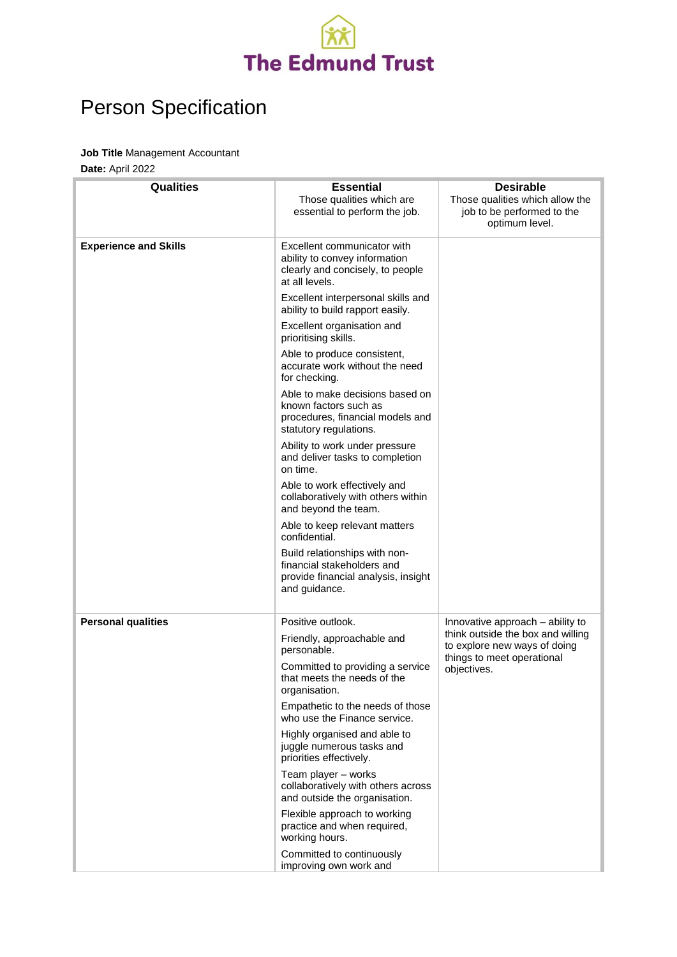

## Person Specification

## **Job Title** Management Accountant

**Date:** April 2022

| <b>Qualities</b>             | <b>Essential</b>                                                                                                       | <b>Desirable</b>                                                                                               |
|------------------------------|------------------------------------------------------------------------------------------------------------------------|----------------------------------------------------------------------------------------------------------------|
|                              | Those qualities which are<br>essential to perform the job.                                                             | Those qualities which allow the<br>job to be performed to the<br>optimum level.                                |
| <b>Experience and Skills</b> | Excellent communicator with<br>ability to convey information<br>clearly and concisely, to people<br>at all levels.     |                                                                                                                |
|                              | Excellent interpersonal skills and<br>ability to build rapport easily.                                                 |                                                                                                                |
|                              | Excellent organisation and<br>prioritising skills.                                                                     |                                                                                                                |
|                              | Able to produce consistent,<br>accurate work without the need<br>for checking.                                         |                                                                                                                |
|                              | Able to make decisions based on<br>known factors such as<br>procedures, financial models and<br>statutory regulations. |                                                                                                                |
|                              | Ability to work under pressure<br>and deliver tasks to completion<br>on time.                                          |                                                                                                                |
|                              | Able to work effectively and<br>collaboratively with others within<br>and beyond the team.                             |                                                                                                                |
|                              | Able to keep relevant matters<br>confidential.                                                                         |                                                                                                                |
|                              | Build relationships with non-<br>financial stakeholders and<br>provide financial analysis, insight<br>and guidance.    |                                                                                                                |
| <b>Personal qualities</b>    | Positive outlook.                                                                                                      | Innovative approach - ability to                                                                               |
|                              | Friendly, approachable and<br>personable.                                                                              | think outside the box and willing<br>to explore new ways of doing<br>things to meet operational<br>objectives. |
|                              | Committed to providing a service<br>that meets the needs of the<br>organisation.                                       |                                                                                                                |
|                              | Empathetic to the needs of those<br>who use the Finance service.                                                       |                                                                                                                |
|                              | Highly organised and able to<br>juggle numerous tasks and<br>priorities effectively.                                   |                                                                                                                |
|                              | Team player - works<br>collaboratively with others across<br>and outside the organisation.                             |                                                                                                                |
|                              | Flexible approach to working<br>practice and when required,<br>working hours.                                          |                                                                                                                |
|                              | Committed to continuously<br>improving own work and                                                                    |                                                                                                                |